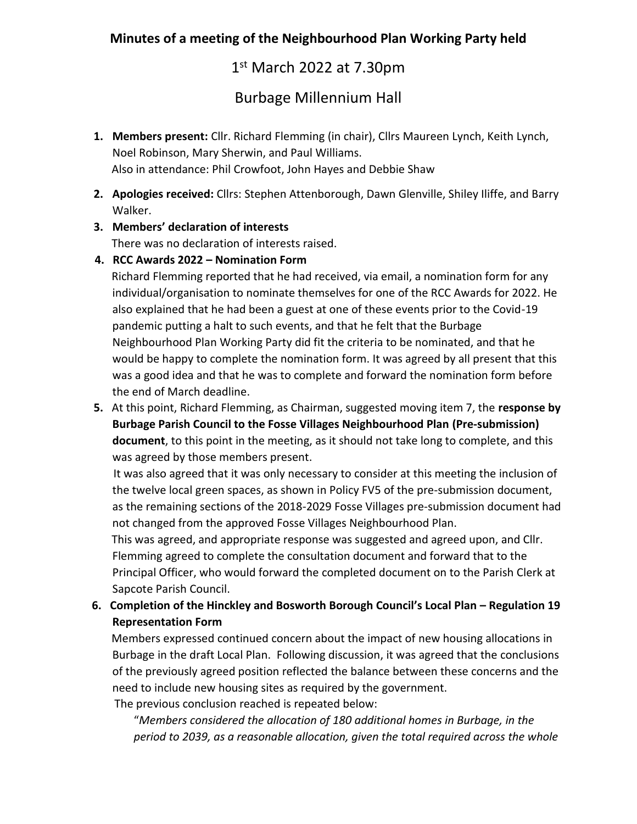## **Minutes of a meeting of the Neighbourhood Plan Working Party held**

1 st March 2022 at 7.30pm

Burbage Millennium Hall

- **1. Members present:** Cllr. Richard Flemming (in chair), Cllrs Maureen Lynch, Keith Lynch, Noel Robinson, Mary Sherwin, and Paul Williams. Also in attendance: Phil Crowfoot, John Hayes and Debbie Shaw
- **2. Apologies received:** Cllrs: Stephen Attenborough, Dawn Glenville, Shiley Iliffe, and Barry Walker.
- **3. Members' declaration of interests**

There was no declaration of interests raised.

**4. RCC Awards 2022 – Nomination Form**

Richard Flemming reported that he had received, via email, a nomination form for any individual/organisation to nominate themselves for one of the RCC Awards for 2022. He also explained that he had been a guest at one of these events prior to the Covid-19 pandemic putting a halt to such events, and that he felt that the Burbage Neighbourhood Plan Working Party did fit the criteria to be nominated, and that he would be happy to complete the nomination form. It was agreed by all present that this was a good idea and that he was to complete and forward the nomination form before the end of March deadline.

**5.** At this point, Richard Flemming, as Chairman, suggested moving item 7, the **response by Burbage Parish Council to the Fosse Villages Neighbourhood Plan (Pre-submission) document**, to this point in the meeting, as it should not take long to complete, and this was agreed by those members present.

 It was also agreed that it was only necessary to consider at this meeting the inclusion of the twelve local green spaces, as shown in Policy FV5 of the pre-submission document, as the remaining sections of the 2018-2029 Fosse Villages pre-submission document had not changed from the approved Fosse Villages Neighbourhood Plan.

 This was agreed, and appropriate response was suggested and agreed upon, and Cllr. Flemming agreed to complete the consultation document and forward that to the Principal Officer, who would forward the completed document on to the Parish Clerk at Sapcote Parish Council.

## **6. Completion of the Hinckley and Bosworth Borough Council's Local Plan – Regulation 19 Representation Form**

 Members expressed continued concern about the impact of new housing allocations in Burbage in the draft Local Plan. Following discussion, it was agreed that the conclusions of the previously agreed position reflected the balance between these concerns and the need to include new housing sites as required by the government.

The previous conclusion reached is repeated below:

"*Members considered the allocation of 180 additional homes in Burbage, in the period to 2039, as a reasonable allocation, given the total required across the whole*